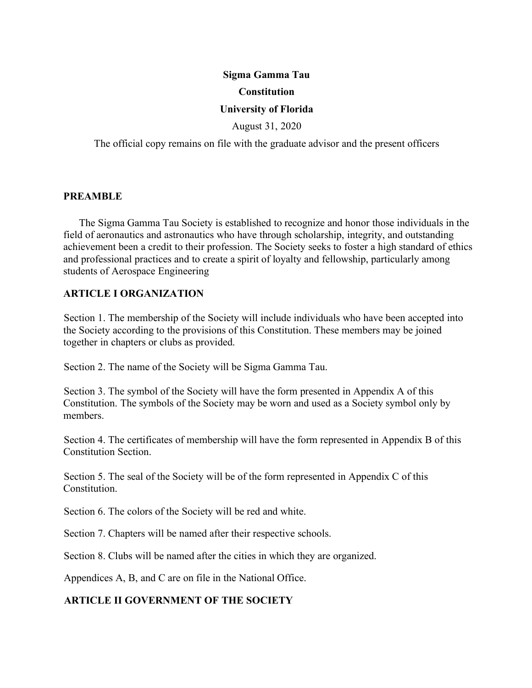# **Sigma Gamma Tau Constitution**

#### **University of Florida**

August 31, 2020

The official copy remains on file with the graduate advisor and the present officers

#### **PREAMBLE**

The Sigma Gamma Tau Society is established to recognize and honor those individuals in the field of aeronautics and astronautics who have through scholarship, integrity, and outstanding achievement been a credit to their profession. The Society seeks to foster a high standard of ethics and professional practices and to create a spirit of loyalty and fellowship, particularly among students of Aerospace Engineering

### **ARTICLE I ORGANIZATION**

Section 1. The membership of the Society will include individuals who have been accepted into the Society according to the provisions of this Constitution. These members may be joined together in chapters or clubs as provided.

Section 2. The name of the Society will be Sigma Gamma Tau.

Section 3. The symbol of the Society will have the form presented in Appendix A of this Constitution. The symbols of the Society may be worn and used as a Society symbol only by members.

Section 4. The certificates of membership will have the form represented in Appendix B of this Constitution Section.

Section 5. The seal of the Society will be of the form represented in Appendix C of this Constitution.

Section 6. The colors of the Society will be red and white.

Section 7. Chapters will be named after their respective schools.

Section 8. Clubs will be named after the cities in which they are organized.

Appendices A, B, and C are on file in the National Office.

### **ARTICLE II GOVERNMENT OF THE SOCIETY**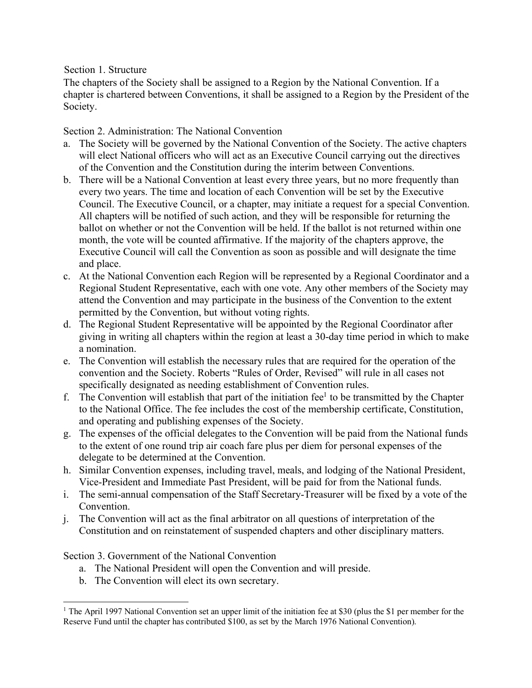### Section 1. Structure

The chapters of the Society shall be assigned to a Region by the National Convention. If a chapter is chartered between Conventions, it shall be assigned to a Region by the President of the Society.

Section 2. Administration: The National Convention

- a. The Society will be governed by the National Convention of the Society. The active chapters will elect National officers who will act as an Executive Council carrying out the directives of the Convention and the Constitution during the interim between Conventions.
- b. There will be a National Convention at least every three years, but no more frequently than every two years. The time and location of each Convention will be set by the Executive Council. The Executive Council, or a chapter, may initiate a request for a special Convention. All chapters will be notified of such action, and they will be responsible for returning the ballot on whether or not the Convention will be held. If the ballot is not returned within one month, the vote will be counted affirmative. If the majority of the chapters approve, the Executive Council will call the Convention as soon as possible and will designate the time and place.
- c. At the National Convention each Region will be represented by a Regional Coordinator and a Regional Student Representative, each with one vote. Any other members of the Society may attend the Convention and may participate in the business of the Convention to the extent permitted by the Convention, but without voting rights.
- d. The Regional Student Representative will be appointed by the Regional Coordinator after giving in writing all chapters within the region at least a 30-day time period in which to make a nomination.
- e. The Convention will establish the necessary rules that are required for the operation of the convention and the Society. Roberts "Rules of Order, Revised" will rule in all cases not specifically designated as needing establishment of Convention rules.
- f. The Convention will establish that part of the initiation fee<sup>1</sup> to be transmitted by the Chapter to the National Office. The fee includes the cost of the membership certificate, Constitution, and operating and publishing expenses of the Society.
- g. The expenses of the official delegates to the Convention will be paid from the National funds to the extent of one round trip air coach fare plus per diem for personal expenses of the delegate to be determined at the Convention.
- h. Similar Convention expenses, including travel, meals, and lodging of the National President, Vice-President and Immediate Past President, will be paid for from the National funds.
- i. The semi-annual compensation of the Staff Secretary-Treasurer will be fixed by a vote of the Convention.
- j. The Convention will act as the final arbitrator on all questions of interpretation of the Constitution and on reinstatement of suspended chapters and other disciplinary matters.

Section 3. Government of the National Convention

-

- a. The National President will open the Convention and will preside.
- b. The Convention will elect its own secretary.

<sup>&</sup>lt;sup>1</sup> The April 1997 National Convention set an upper limit of the initiation fee at \$30 (plus the \$1 per member for the Reserve Fund until the chapter has contributed \$100, as set by the March 1976 National Convention).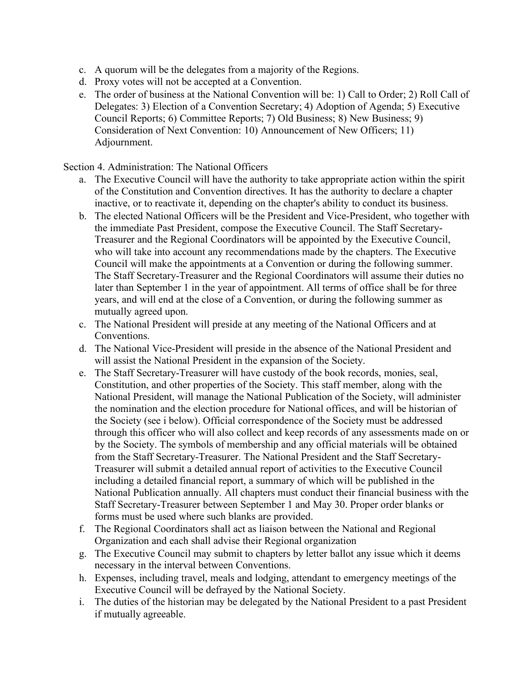- c. A quorum will be the delegates from a majority of the Regions.
- d. Proxy votes will not be accepted at a Convention.
- e. The order of business at the National Convention will be: 1) Call to Order; 2) Roll Call of Delegates: 3) Election of a Convention Secretary; 4) Adoption of Agenda; 5) Executive Council Reports; 6) Committee Reports; 7) Old Business; 8) New Business; 9) Consideration of Next Convention: 10) Announcement of New Officers; 11) Adjournment.

Section 4. Administration: The National Officers

- a. The Executive Council will have the authority to take appropriate action within the spirit of the Constitution and Convention directives. It has the authority to declare a chapter inactive, or to reactivate it, depending on the chapter's ability to conduct its business.
- b. The elected National Officers will be the President and Vice-President, who together with the immediate Past President, compose the Executive Council. The Staff Secretary-Treasurer and the Regional Coordinators will be appointed by the Executive Council, who will take into account any recommendations made by the chapters. The Executive Council will make the appointments at a Convention or during the following summer. The Staff Secretary-Treasurer and the Regional Coordinators will assume their duties no later than September 1 in the year of appointment. All terms of office shall be for three years, and will end at the close of a Convention, or during the following summer as mutually agreed upon.
- c. The National President will preside at any meeting of the National Officers and at Conventions.
- d. The National Vice-President will preside in the absence of the National President and will assist the National President in the expansion of the Society.
- e. The Staff Secretary-Treasurer will have custody of the book records, monies, seal, Constitution, and other properties of the Society. This staff member, along with the National President, will manage the National Publication of the Society, will administer the nomination and the election procedure for National offices, and will be historian of the Society (see i below). Official correspondence of the Society must be addressed through this officer who will also collect and keep records of any assessments made on or by the Society. The symbols of membership and any official materials will be obtained from the Staff Secretary-Treasurer. The National President and the Staff Secretary-Treasurer will submit a detailed annual report of activities to the Executive Council including a detailed financial report, a summary of which will be published in the National Publication annually. All chapters must conduct their financial business with the Staff Secretary-Treasurer between September 1 and May 30. Proper order blanks or forms must be used where such blanks are provided.
- f. The Regional Coordinators shall act as liaison between the National and Regional Organization and each shall advise their Regional organization
- g. The Executive Council may submit to chapters by letter ballot any issue which it deems necessary in the interval between Conventions.
- h. Expenses, including travel, meals and lodging, attendant to emergency meetings of the Executive Council will be defrayed by the National Society.
- i. The duties of the historian may be delegated by the National President to a past President if mutually agreeable.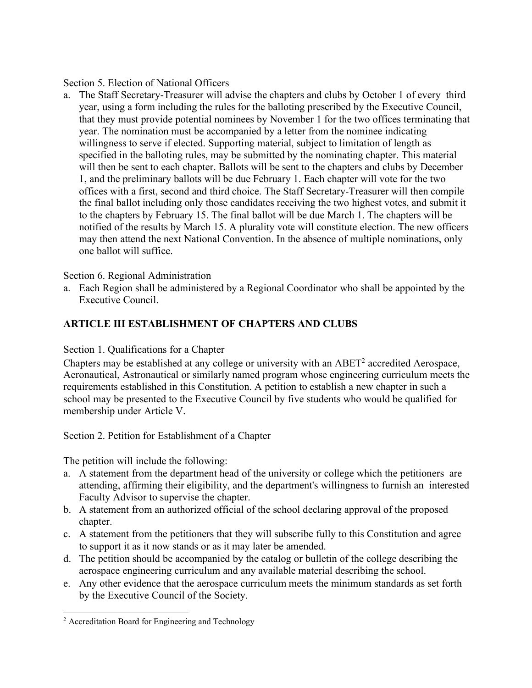Section 5. Election of National Officers

a. The Staff Secretary-Treasurer will advise the chapters and clubs by October 1 of every third year, using a form including the rules for the balloting prescribed by the Executive Council, that they must provide potential nominees by November 1 for the two offices terminating that year. The nomination must be accompanied by a letter from the nominee indicating willingness to serve if elected. Supporting material, subject to limitation of length as specified in the balloting rules, may be submitted by the nominating chapter. This material will then be sent to each chapter. Ballots will be sent to the chapters and clubs by December 1, and the preliminary ballots will be due February 1. Each chapter will vote for the two offices with a first, second and third choice. The Staff Secretary-Treasurer will then compile the final ballot including only those candidates receiving the two highest votes, and submit it to the chapters by February 15. The final ballot will be due March 1. The chapters will be notified of the results by March 15. A plurality vote will constitute election. The new officers may then attend the next National Convention. In the absence of multiple nominations, only one ballot will suffice.

Section 6. Regional Administration

a. Each Region shall be administered by a Regional Coordinator who shall be appointed by the Executive Council.

# **ARTICLE III ESTABLISHMENT OF CHAPTERS AND CLUBS**

## Section 1. Qualifications for a Chapter

Chapters may be established at any college or university with an ABET2 accredited Aerospace, Aeronautical, Astronautical or similarly named program whose engineering curriculum meets the requirements established in this Constitution. A petition to establish a new chapter in such a school may be presented to the Executive Council by five students who would be qualified for membership under Article V.

Section 2. Petition for Establishment of a Chapter

The petition will include the following:

- a. A statement from the department head of the university or college which the petitioners are attending, affirming their eligibility, and the department's willingness to furnish an interested Faculty Advisor to supervise the chapter.
- b. A statement from an authorized official of the school declaring approval of the proposed chapter.
- c. A statement from the petitioners that they will subscribe fully to this Constitution and agree to support it as it now stands or as it may later be amended.
- d. The petition should be accompanied by the catalog or bulletin of the college describing the aerospace engineering curriculum and any available material describing the school.
- e. Any other evidence that the aerospace curriculum meets the minimum standards as set forth by the Executive Council of the Society.

-

<sup>&</sup>lt;sup>2</sup> Accreditation Board for Engineering and Technology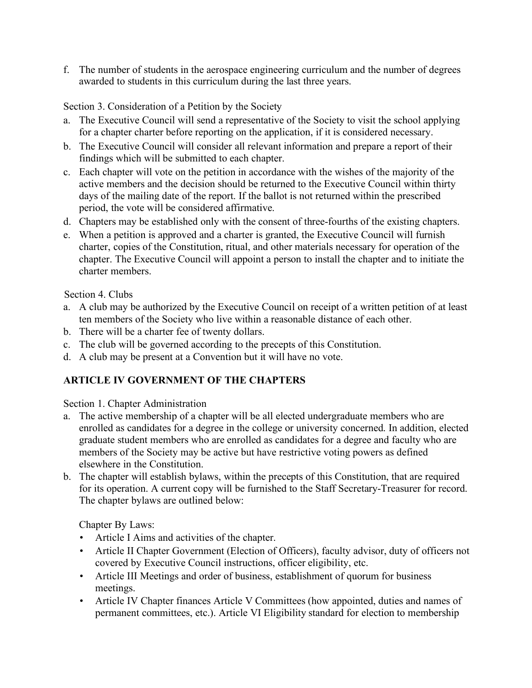f. The number of students in the aerospace engineering curriculum and the number of degrees awarded to students in this curriculum during the last three years.

Section 3. Consideration of a Petition by the Society

- a. The Executive Council will send a representative of the Society to visit the school applying for a chapter charter before reporting on the application, if it is considered necessary.
- b. The Executive Council will consider all relevant information and prepare a report of their findings which will be submitted to each chapter.
- c. Each chapter will vote on the petition in accordance with the wishes of the majority of the active members and the decision should be returned to the Executive Council within thirty days of the mailing date of the report. If the ballot is not returned within the prescribed period, the vote will be considered affirmative.
- d. Chapters may be established only with the consent of three-fourths of the existing chapters.
- e. When a petition is approved and a charter is granted, the Executive Council will furnish charter, copies of the Constitution, ritual, and other materials necessary for operation of the chapter. The Executive Council will appoint a person to install the chapter and to initiate the charter members.

Section 4. Clubs

- a. A club may be authorized by the Executive Council on receipt of a written petition of at least ten members of the Society who live within a reasonable distance of each other.
- b. There will be a charter fee of twenty dollars.
- c. The club will be governed according to the precepts of this Constitution.
- d. A club may be present at a Convention but it will have no vote.

# **ARTICLE IV GOVERNMENT OF THE CHAPTERS**

Section 1. Chapter Administration

- a. The active membership of a chapter will be all elected undergraduate members who are enrolled as candidates for a degree in the college or university concerned. In addition, elected graduate student members who are enrolled as candidates for a degree and faculty who are members of the Society may be active but have restrictive voting powers as defined elsewhere in the Constitution.
- b. The chapter will establish bylaws, within the precepts of this Constitution, that are required for its operation. A current copy will be furnished to the Staff Secretary-Treasurer for record. The chapter bylaws are outlined below:

Chapter By Laws:

- Article I Aims and activities of the chapter.
- Article II Chapter Government (Election of Officers), faculty advisor, duty of officers not covered by Executive Council instructions, officer eligibility, etc.
- Article III Meetings and order of business, establishment of quorum for business meetings.
- Article IV Chapter finances Article V Committees (how appointed, duties and names of permanent committees, etc.). Article VI Eligibility standard for election to membership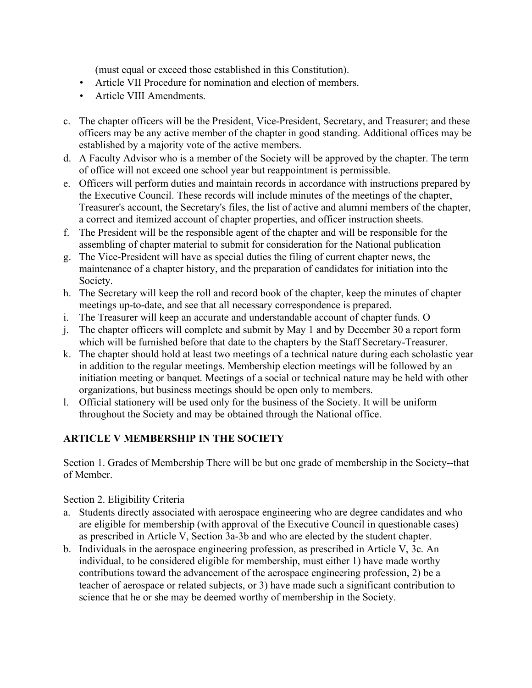(must equal or exceed those established in this Constitution).

- Article VII Procedure for nomination and election of members.
- Article VIII Amendments.
- c. The chapter officers will be the President, Vice-President, Secretary, and Treasurer; and these officers may be any active member of the chapter in good standing. Additional offices may be established by a majority vote of the active members.
- d. A Faculty Advisor who is a member of the Society will be approved by the chapter. The term of office will not exceed one school year but reappointment is permissible.
- e. Officers will perform duties and maintain records in accordance with instructions prepared by the Executive Council. These records will include minutes of the meetings of the chapter, Treasurer's account, the Secretary's files, the list of active and alumni members of the chapter, a correct and itemized account of chapter properties, and officer instruction sheets.
- f. The President will be the responsible agent of the chapter and will be responsible for the assembling of chapter material to submit for consideration for the National publication
- g. The Vice-President will have as special duties the filing of current chapter news, the maintenance of a chapter history, and the preparation of candidates for initiation into the Society.
- h. The Secretary will keep the roll and record book of the chapter, keep the minutes of chapter meetings up-to-date, and see that all necessary correspondence is prepared.
- i. The Treasurer will keep an accurate and understandable account of chapter funds. O
- j. The chapter officers will complete and submit by May 1 and by December 30 a report form which will be furnished before that date to the chapters by the Staff Secretary-Treasurer.
- k. The chapter should hold at least two meetings of a technical nature during each scholastic year in addition to the regular meetings. Membership election meetings will be followed by an initiation meeting or banquet. Meetings of a social or technical nature may be held with other organizations, but business meetings should be open only to members.
- l. Official stationery will be used only for the business of the Society. It will be uniform throughout the Society and may be obtained through the National office.

# **ARTICLE V MEMBERSHIP IN THE SOCIETY**

Section 1. Grades of Membership There will be but one grade of membership in the Society--that of Member.

Section 2. Eligibility Criteria

- a. Students directly associated with aerospace engineering who are degree candidates and who are eligible for membership (with approval of the Executive Council in questionable cases) as prescribed in Article V, Section 3a-3b and who are elected by the student chapter.
- b. Individuals in the aerospace engineering profession, as prescribed in Article V, 3c. An individual, to be considered eligible for membership, must either 1) have made worthy contributions toward the advancement of the aerospace engineering profession, 2) be a teacher of aerospace or related subjects, or 3) have made such a significant contribution to science that he or she may be deemed worthy of membership in the Society.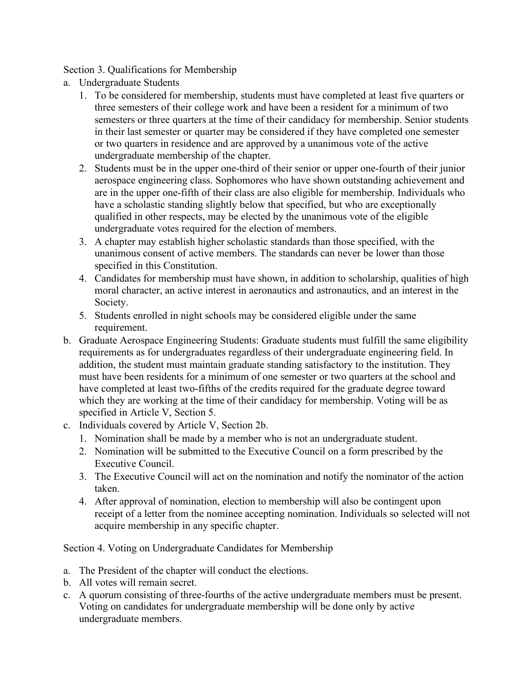Section 3. Qualifications for Membership

- a. Undergraduate Students
	- 1. To be considered for membership, students must have completed at least five quarters or three semesters of their college work and have been a resident for a minimum of two semesters or three quarters at the time of their candidacy for membership. Senior students in their last semester or quarter may be considered if they have completed one semester or two quarters in residence and are approved by a unanimous vote of the active undergraduate membership of the chapter.
	- 2. Students must be in the upper one-third of their senior or upper one-fourth of their junior aerospace engineering class. Sophomores who have shown outstanding achievement and are in the upper one-fifth of their class are also eligible for membership. Individuals who have a scholastic standing slightly below that specified, but who are exceptionally qualified in other respects, may be elected by the unanimous vote of the eligible undergraduate votes required for the election of members.
	- 3. A chapter may establish higher scholastic standards than those specified, with the unanimous consent of active members. The standards can never be lower than those specified in this Constitution.
	- 4. Candidates for membership must have shown, in addition to scholarship, qualities of high moral character, an active interest in aeronautics and astronautics, and an interest in the Society.
	- 5. Students enrolled in night schools may be considered eligible under the same requirement.
- b. Graduate Aerospace Engineering Students: Graduate students must fulfill the same eligibility requirements as for undergraduates regardless of their undergraduate engineering field. In addition, the student must maintain graduate standing satisfactory to the institution. They must have been residents for a minimum of one semester or two quarters at the school and have completed at least two-fifths of the credits required for the graduate degree toward which they are working at the time of their candidacy for membership. Voting will be as specified in Article V, Section 5.
- c. Individuals covered by Article V, Section 2b.
	- 1. Nomination shall be made by a member who is not an undergraduate student.
	- 2. Nomination will be submitted to the Executive Council on a form prescribed by the Executive Council.
	- 3. The Executive Council will act on the nomination and notify the nominator of the action taken.
	- 4. After approval of nomination, election to membership will also be contingent upon receipt of a letter from the nominee accepting nomination. Individuals so selected will not acquire membership in any specific chapter.

Section 4. Voting on Undergraduate Candidates for Membership

- a. The President of the chapter will conduct the elections.
- b. All votes will remain secret.
- c. A quorum consisting of three-fourths of the active undergraduate members must be present. Voting on candidates for undergraduate membership will be done only by active undergraduate members.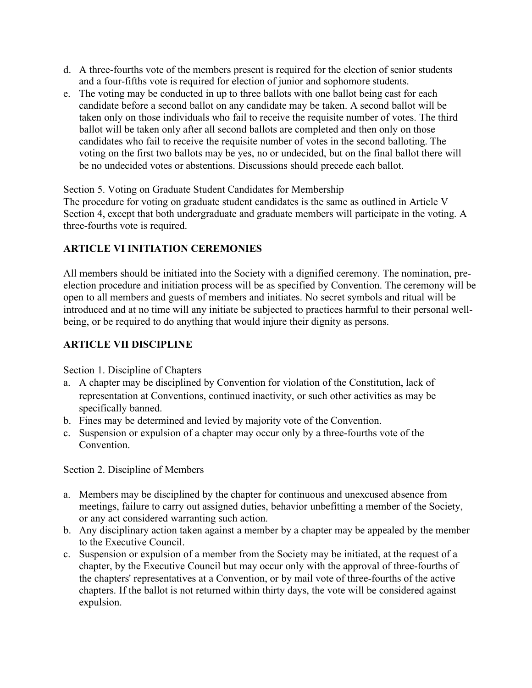- d. A three-fourths vote of the members present is required for the election of senior students and a four-fifths vote is required for election of junior and sophomore students.
- e. The voting may be conducted in up to three ballots with one ballot being cast for each candidate before a second ballot on any candidate may be taken. A second ballot will be taken only on those individuals who fail to receive the requisite number of votes. The third ballot will be taken only after all second ballots are completed and then only on those candidates who fail to receive the requisite number of votes in the second balloting. The voting on the first two ballots may be yes, no or undecided, but on the final ballot there will be no undecided votes or abstentions. Discussions should precede each ballot.

Section 5. Voting on Graduate Student Candidates for Membership

The procedure for voting on graduate student candidates is the same as outlined in Article V Section 4, except that both undergraduate and graduate members will participate in the voting. A three-fourths vote is required.

### **ARTICLE VI INITIATION CEREMONIES**

All members should be initiated into the Society with a dignified ceremony. The nomination, preelection procedure and initiation process will be as specified by Convention. The ceremony will be open to all members and guests of members and initiates. No secret symbols and ritual will be introduced and at no time will any initiate be subjected to practices harmful to their personal wellbeing, or be required to do anything that would injure their dignity as persons.

### **ARTICLE VII DISCIPLINE**

Section 1. Discipline of Chapters

- a. A chapter may be disciplined by Convention for violation of the Constitution, lack of representation at Conventions, continued inactivity, or such other activities as may be specifically banned.
- b. Fines may be determined and levied by majority vote of the Convention.
- c. Suspension or expulsion of a chapter may occur only by a three-fourths vote of the Convention.

Section 2. Discipline of Members

- a. Members may be disciplined by the chapter for continuous and unexcused absence from meetings, failure to carry out assigned duties, behavior unbefitting a member of the Society, or any act considered warranting such action.
- b. Any disciplinary action taken against a member by a chapter may be appealed by the member to the Executive Council.
- c. Suspension or expulsion of a member from the Society may be initiated, at the request of a chapter, by the Executive Council but may occur only with the approval of three-fourths of the chapters' representatives at a Convention, or by mail vote of three-fourths of the active chapters. If the ballot is not returned within thirty days, the vote will be considered against expulsion.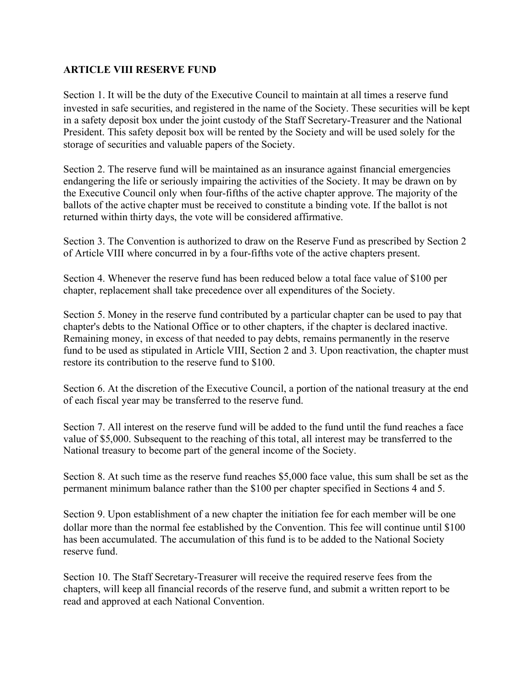### **ARTICLE VIII RESERVE FUND**

Section 1. It will be the duty of the Executive Council to maintain at all times a reserve fund invested in safe securities, and registered in the name of the Society. These securities will be kept in a safety deposit box under the joint custody of the Staff Secretary-Treasurer and the National President. This safety deposit box will be rented by the Society and will be used solely for the storage of securities and valuable papers of the Society.

Section 2. The reserve fund will be maintained as an insurance against financial emergencies endangering the life or seriously impairing the activities of the Society. It may be drawn on by the Executive Council only when four-fifths of the active chapter approve. The majority of the ballots of the active chapter must be received to constitute a binding vote. If the ballot is not returned within thirty days, the vote will be considered affirmative.

Section 3. The Convention is authorized to draw on the Reserve Fund as prescribed by Section 2 of Article VIII where concurred in by a four-fifths vote of the active chapters present.

Section 4. Whenever the reserve fund has been reduced below a total face value of \$100 per chapter, replacement shall take precedence over all expenditures of the Society.

Section 5. Money in the reserve fund contributed by a particular chapter can be used to pay that chapter's debts to the National Office or to other chapters, if the chapter is declared inactive. Remaining money, in excess of that needed to pay debts, remains permanently in the reserve fund to be used as stipulated in Article VIII, Section 2 and 3. Upon reactivation, the chapter must restore its contribution to the reserve fund to \$100.

Section 6. At the discretion of the Executive Council, a portion of the national treasury at the end of each fiscal year may be transferred to the reserve fund.

Section 7. All interest on the reserve fund will be added to the fund until the fund reaches a face value of \$5,000. Subsequent to the reaching of this total, all interest may be transferred to the National treasury to become part of the general income of the Society.

Section 8. At such time as the reserve fund reaches \$5,000 face value, this sum shall be set as the permanent minimum balance rather than the \$100 per chapter specified in Sections 4 and 5.

Section 9. Upon establishment of a new chapter the initiation fee for each member will be one dollar more than the normal fee established by the Convention. This fee will continue until \$100 has been accumulated. The accumulation of this fund is to be added to the National Society reserve fund.

Section 10. The Staff Secretary-Treasurer will receive the required reserve fees from the chapters, will keep all financial records of the reserve fund, and submit a written report to be read and approved at each National Convention.